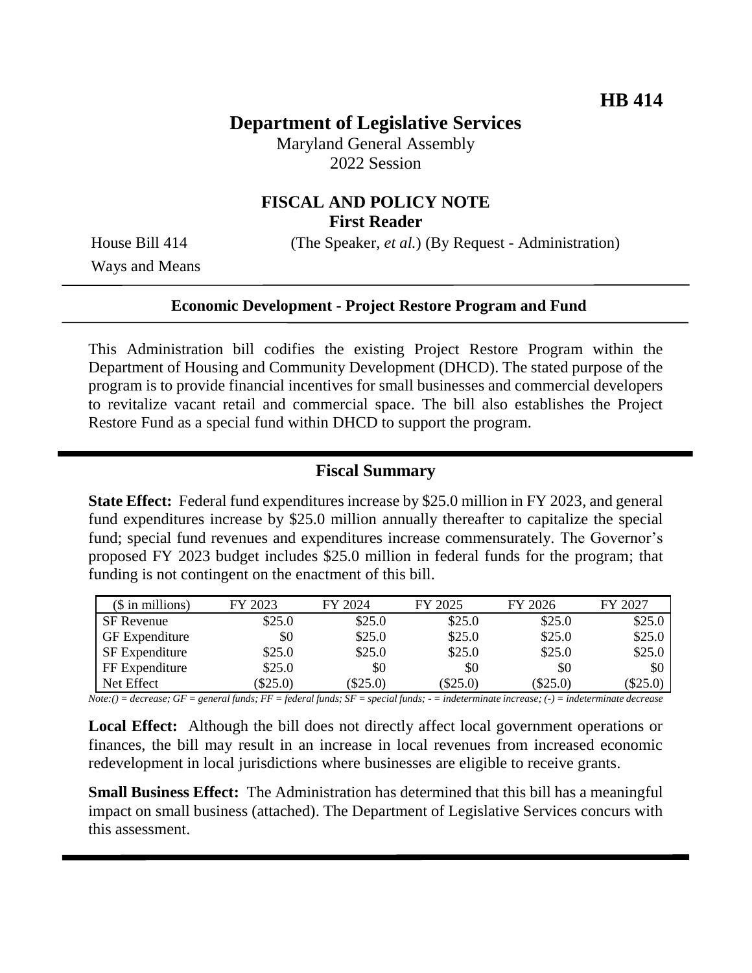## **Department of Legislative Services**

Maryland General Assembly 2022 Session

## **FISCAL AND POLICY NOTE First Reader**

House Bill 414 (The Speaker, *et al.*) (By Request - Administration)

Ways and Means

#### **Economic Development - Project Restore Program and Fund**

This Administration bill codifies the existing Project Restore Program within the Department of Housing and Community Development (DHCD). The stated purpose of the program is to provide financial incentives for small businesses and commercial developers to revitalize vacant retail and commercial space. The bill also establishes the Project Restore Fund as a special fund within DHCD to support the program.

#### **Fiscal Summary**

**State Effect:** Federal fund expenditures increase by \$25.0 million in FY 2023, and general fund expenditures increase by \$25.0 million annually thereafter to capitalize the special fund; special fund revenues and expenditures increase commensurately. The Governor's proposed FY 2023 budget includes \$25.0 million in federal funds for the program; that funding is not contingent on the enactment of this bill.

| $($$ in millions)     | FY 2023 | FY 2024    | FY 2025    | FY 2026    | FY 2027  |
|-----------------------|---------|------------|------------|------------|----------|
| SF Revenue            | \$25.0  | \$25.0     | \$25.0     | \$25.0     | \$25.0   |
| <b>GF</b> Expenditure | \$0     | \$25.0     | \$25.0     | \$25.0     | \$25.0   |
| <b>SF</b> Expenditure | \$25.0  | \$25.0     | \$25.0     | \$25.0     | \$25.0   |
| FF Expenditure        | \$25.0  | \$0        | \$0        | \$0        | \$0      |
| Net Effect            | \$25.0) | $(\$25.0)$ | $(\$25.0)$ | $(\$25.0)$ | (\$25.0) |

*Note:() = decrease; GF = general funds; FF = federal funds; SF = special funds; - = indeterminate increase; (-) = indeterminate decrease*

**Local Effect:** Although the bill does not directly affect local government operations or finances, the bill may result in an increase in local revenues from increased economic redevelopment in local jurisdictions where businesses are eligible to receive grants.

**Small Business Effect:** The Administration has determined that this bill has a meaningful impact on small business (attached). The Department of Legislative Services concurs with this assessment.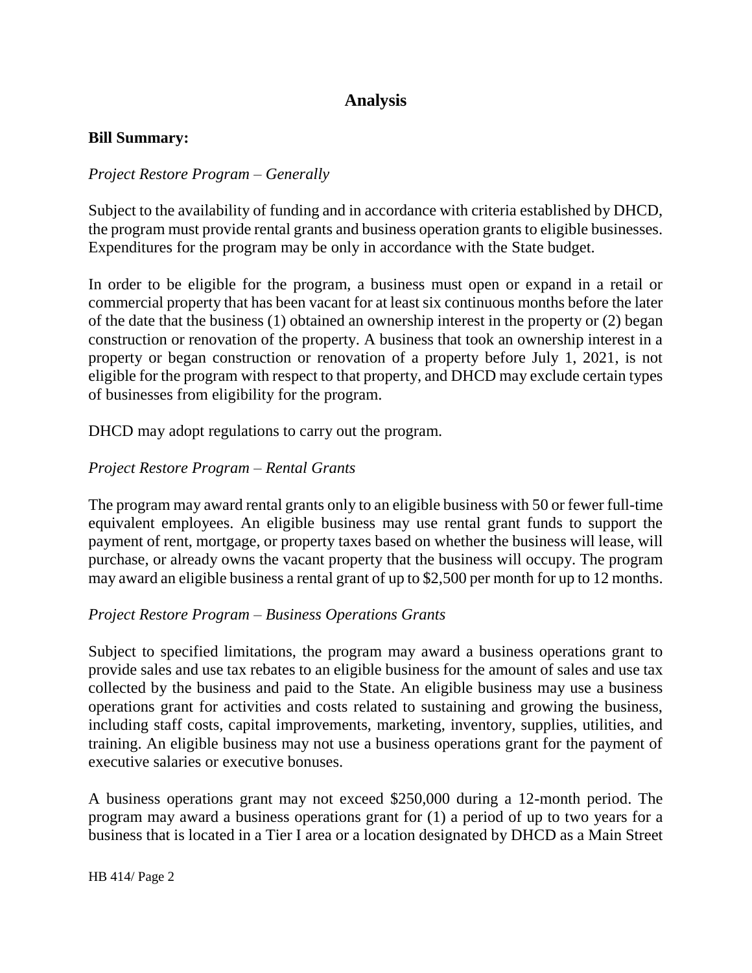# **Analysis**

#### **Bill Summary:**

#### *Project Restore Program – Generally*

Subject to the availability of funding and in accordance with criteria established by DHCD, the program must provide rental grants and business operation grants to eligible businesses. Expenditures for the program may be only in accordance with the State budget.

In order to be eligible for the program, a business must open or expand in a retail or commercial property that has been vacant for at least six continuous months before the later of the date that the business (1) obtained an ownership interest in the property or (2) began construction or renovation of the property. A business that took an ownership interest in a property or began construction or renovation of a property before July 1, 2021, is not eligible for the program with respect to that property, and DHCD may exclude certain types of businesses from eligibility for the program.

DHCD may adopt regulations to carry out the program.

### *Project Restore Program – Rental Grants*

The program may award rental grants only to an eligible business with 50 or fewer full-time equivalent employees. An eligible business may use rental grant funds to support the payment of rent, mortgage, or property taxes based on whether the business will lease, will purchase, or already owns the vacant property that the business will occupy. The program may award an eligible business a rental grant of up to \$2,500 per month for up to 12 months.

#### *Project Restore Program – Business Operations Grants*

Subject to specified limitations, the program may award a business operations grant to provide sales and use tax rebates to an eligible business for the amount of sales and use tax collected by the business and paid to the State. An eligible business may use a business operations grant for activities and costs related to sustaining and growing the business, including staff costs, capital improvements, marketing, inventory, supplies, utilities, and training. An eligible business may not use a business operations grant for the payment of executive salaries or executive bonuses.

A business operations grant may not exceed \$250,000 during a 12-month period. The program may award a business operations grant for (1) a period of up to two years for a business that is located in a Tier I area or a location designated by DHCD as a Main Street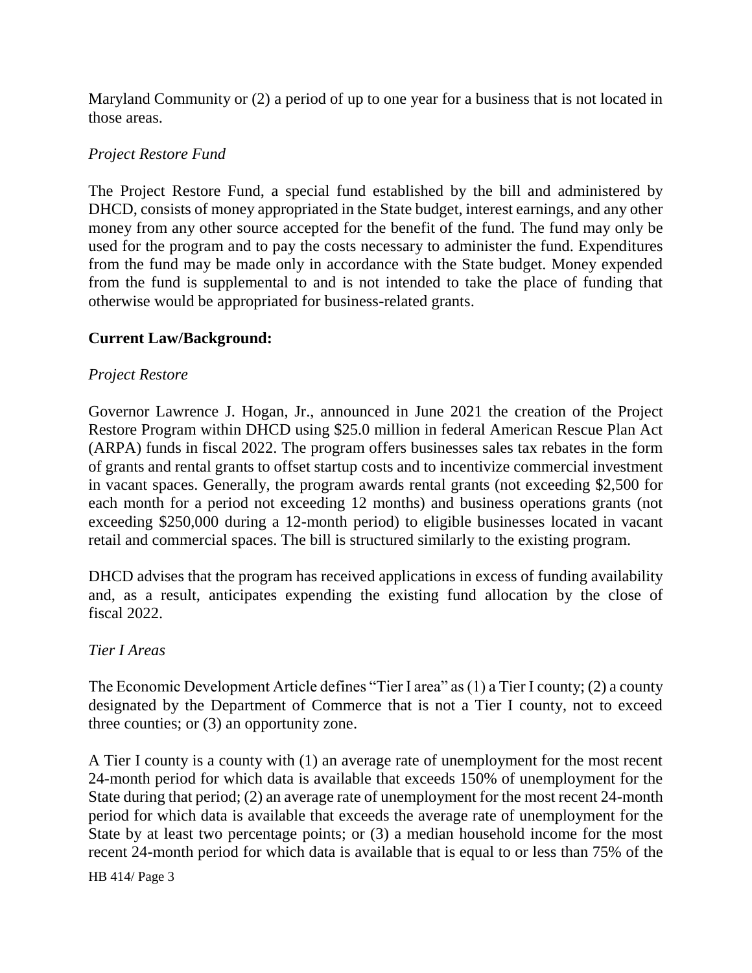Maryland Community or (2) a period of up to one year for a business that is not located in those areas.

## *Project Restore Fund*

The Project Restore Fund, a special fund established by the bill and administered by DHCD, consists of money appropriated in the State budget, interest earnings, and any other money from any other source accepted for the benefit of the fund. The fund may only be used for the program and to pay the costs necessary to administer the fund. Expenditures from the fund may be made only in accordance with the State budget. Money expended from the fund is supplemental to and is not intended to take the place of funding that otherwise would be appropriated for business-related grants.

## **Current Law/Background:**

### *Project Restore*

Governor Lawrence J. Hogan, Jr., announced in June 2021 the creation of the Project Restore Program within DHCD using \$25.0 million in federal American Rescue Plan Act (ARPA) funds in fiscal 2022. The program offers businesses sales tax rebates in the form of grants and rental grants to offset startup costs and to incentivize commercial investment in vacant spaces. Generally, the program awards rental grants (not exceeding \$2,500 for each month for a period not exceeding 12 months) and business operations grants (not exceeding \$250,000 during a 12-month period) to eligible businesses located in vacant retail and commercial spaces. The bill is structured similarly to the existing program.

DHCD advises that the program has received applications in excess of funding availability and, as a result, anticipates expending the existing fund allocation by the close of fiscal 2022.

### *Tier I Areas*

The Economic Development Article defines "Tier I area" as (1) a Tier I county; (2) a county designated by the Department of Commerce that is not a Tier I county, not to exceed three counties; or (3) an opportunity zone.

A Tier I county is a county with (1) an average rate of unemployment for the most recent 24-month period for which data is available that exceeds 150% of unemployment for the State during that period; (2) an average rate of unemployment for the most recent 24-month period for which data is available that exceeds the average rate of unemployment for the State by at least two percentage points; or (3) a median household income for the most recent 24-month period for which data is available that is equal to or less than 75% of the

HB 414/ Page 3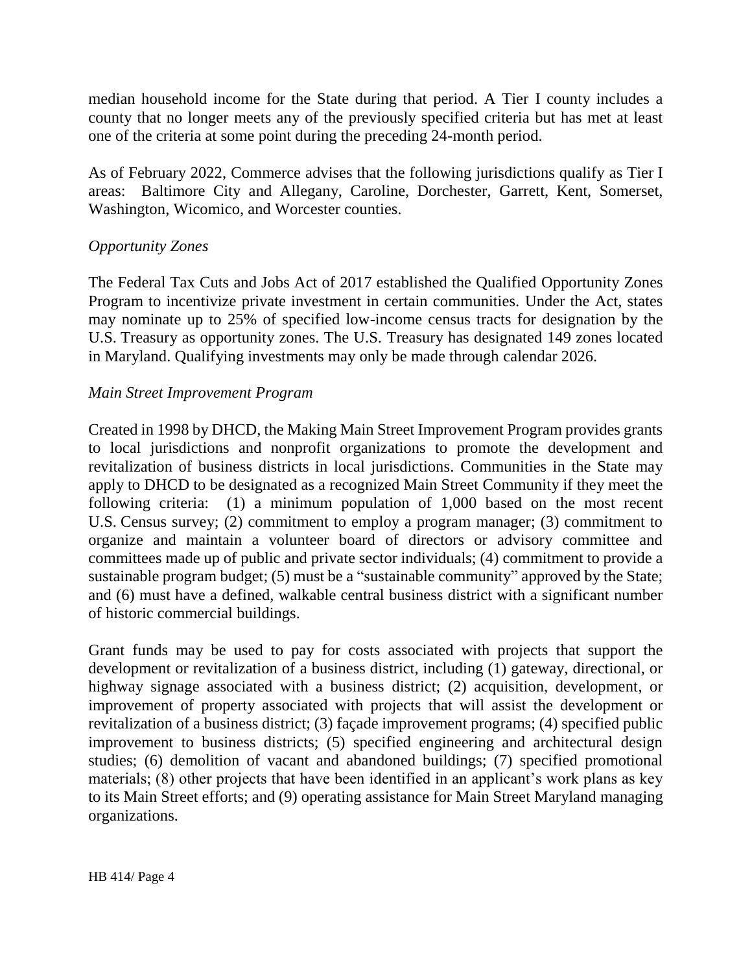median household income for the State during that period. A Tier I county includes a county that no longer meets any of the previously specified criteria but has met at least one of the criteria at some point during the preceding 24-month period.

As of February 2022, Commerce advises that the following jurisdictions qualify as Tier I areas: Baltimore City and Allegany, Caroline, Dorchester, Garrett, Kent, Somerset, Washington, Wicomico, and Worcester counties.

### *Opportunity Zones*

The Federal Tax Cuts and Jobs Act of 2017 established the Qualified Opportunity Zones Program to incentivize private investment in certain communities. Under the Act, states may nominate up to 25% of specified low-income census tracts for designation by the U.S. Treasury as opportunity zones. The U.S. Treasury has designated 149 zones located in Maryland. Qualifying investments may only be made through calendar 2026.

### *Main Street Improvement Program*

Created in 1998 by DHCD, the Making Main Street Improvement Program provides grants to local jurisdictions and nonprofit organizations to promote the development and revitalization of business districts in local jurisdictions. Communities in the State may apply to DHCD to be designated as a recognized Main Street Community if they meet the following criteria: (1) a minimum population of 1,000 based on the most recent U.S. Census survey; (2) commitment to employ a program manager; (3) commitment to organize and maintain a volunteer board of directors or advisory committee and committees made up of public and private sector individuals; (4) commitment to provide a sustainable program budget; (5) must be a "sustainable community" approved by the State; and (6) must have a defined, walkable central business district with a significant number of historic commercial buildings.

Grant funds may be used to pay for costs associated with projects that support the development or revitalization of a business district, including (1) gateway, directional, or highway signage associated with a business district; (2) acquisition, development, or improvement of property associated with projects that will assist the development or revitalization of a business district; (3) façade improvement programs; (4) specified public improvement to business districts; (5) specified engineering and architectural design studies; (6) demolition of vacant and abandoned buildings; (7) specified promotional materials; (8) other projects that have been identified in an applicant's work plans as key to its Main Street efforts; and (9) operating assistance for Main Street Maryland managing organizations.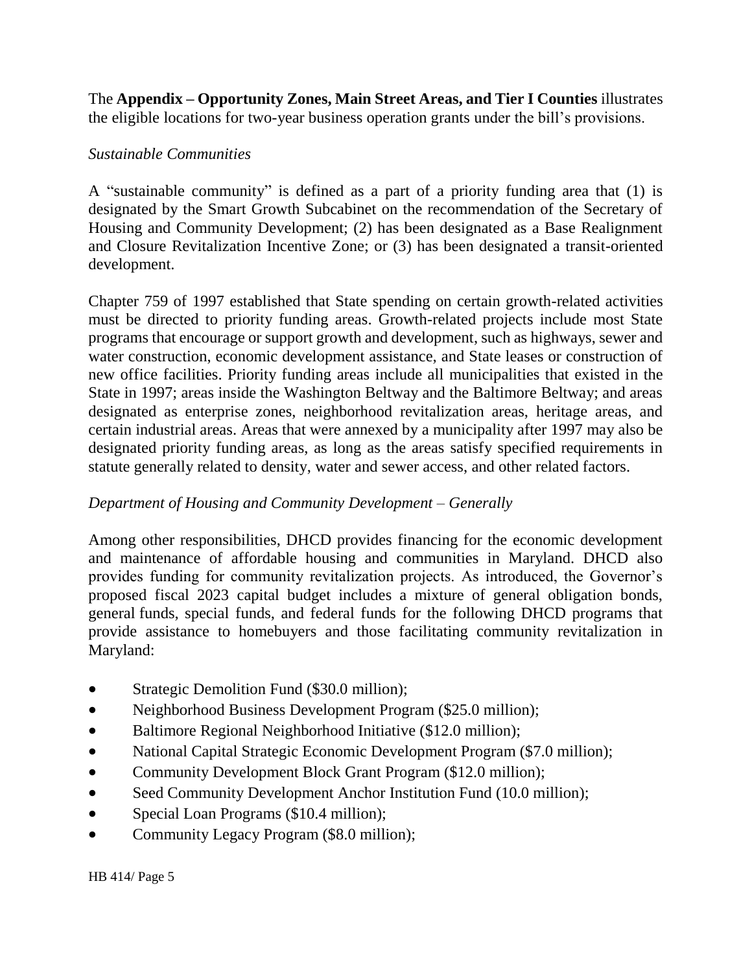The **Appendix – Opportunity Zones, Main Street Areas, and Tier I Counties** illustrates the eligible locations for two-year business operation grants under the bill's provisions.

### *Sustainable Communities*

A "sustainable community" is defined as a part of a priority funding area that (1) is designated by the Smart Growth Subcabinet on the recommendation of the Secretary of Housing and Community Development; (2) has been designated as a Base Realignment and Closure Revitalization Incentive Zone; or (3) has been designated a transit-oriented development.

Chapter 759 of 1997 established that State spending on certain growth-related activities must be directed to priority funding areas. Growth-related projects include most State programs that encourage or support growth and development, such as highways, sewer and water construction, economic development assistance, and State leases or construction of new office facilities. Priority funding areas include all municipalities that existed in the State in 1997; areas inside the Washington Beltway and the Baltimore Beltway; and areas designated as enterprise zones, neighborhood revitalization areas, heritage areas, and certain industrial areas. Areas that were annexed by a municipality after 1997 may also be designated priority funding areas, as long as the areas satisfy specified requirements in statute generally related to density, water and sewer access, and other related factors.

## *Department of Housing and Community Development – Generally*

Among other responsibilities, DHCD provides financing for the economic development and maintenance of affordable housing and communities in Maryland. DHCD also provides funding for community revitalization projects. As introduced, the Governor's proposed fiscal 2023 capital budget includes a mixture of general obligation bonds, general funds, special funds, and federal funds for the following DHCD programs that provide assistance to homebuyers and those facilitating community revitalization in Maryland:

- Strategic Demolition Fund (\$30.0 million);
- Neighborhood Business Development Program (\$25.0 million);
- Baltimore Regional Neighborhood Initiative (\$12.0 million);
- National Capital Strategic Economic Development Program (\$7.0 million);
- Community Development Block Grant Program (\$12.0 million);
- Seed Community Development Anchor Institution Fund (10.0 million);
- Special Loan Programs (\$10.4 million);
- Community Legacy Program (\$8.0 million);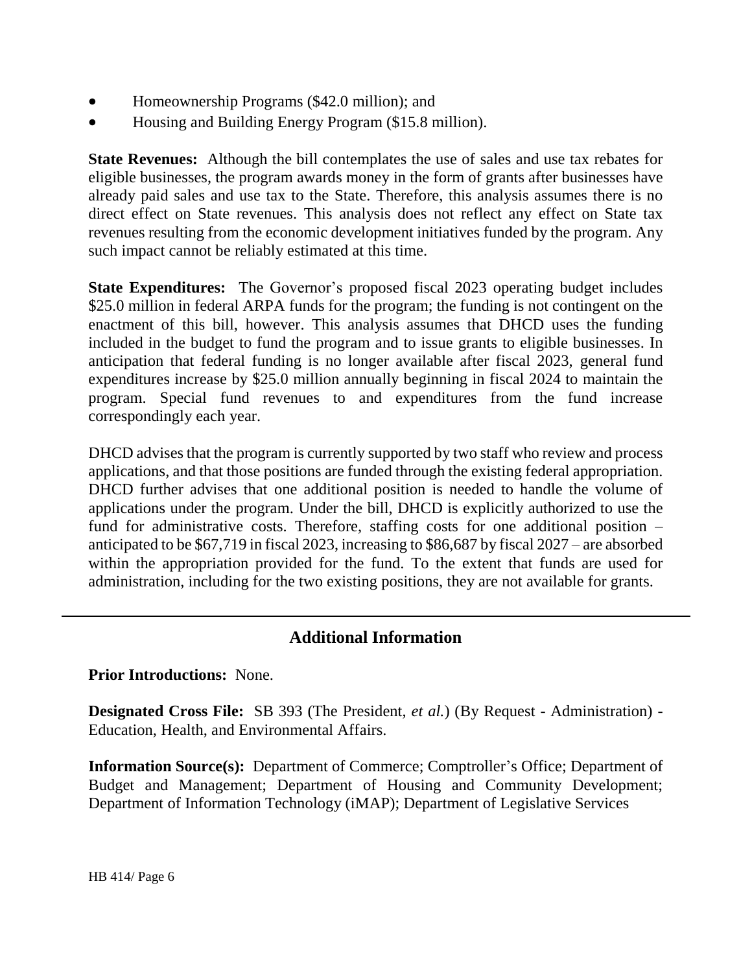- Homeownership Programs (\$42.0 million); and
- Housing and Building Energy Program (\$15.8 million).

**State Revenues:** Although the bill contemplates the use of sales and use tax rebates for eligible businesses, the program awards money in the form of grants after businesses have already paid sales and use tax to the State. Therefore, this analysis assumes there is no direct effect on State revenues. This analysis does not reflect any effect on State tax revenues resulting from the economic development initiatives funded by the program. Any such impact cannot be reliably estimated at this time.

**State Expenditures:** The Governor's proposed fiscal 2023 operating budget includes \$25.0 million in federal ARPA funds for the program; the funding is not contingent on the enactment of this bill, however. This analysis assumes that DHCD uses the funding included in the budget to fund the program and to issue grants to eligible businesses. In anticipation that federal funding is no longer available after fiscal 2023, general fund expenditures increase by \$25.0 million annually beginning in fiscal 2024 to maintain the program. Special fund revenues to and expenditures from the fund increase correspondingly each year.

DHCD advises that the program is currently supported by two staff who review and process applications, and that those positions are funded through the existing federal appropriation. DHCD further advises that one additional position is needed to handle the volume of applications under the program. Under the bill, DHCD is explicitly authorized to use the fund for administrative costs. Therefore, staffing costs for one additional position – anticipated to be \$67,719 in fiscal 2023, increasing to \$86,687 by fiscal 2027 – are absorbed within the appropriation provided for the fund. To the extent that funds are used for administration, including for the two existing positions, they are not available for grants.

# **Additional Information**

**Prior Introductions:** None.

**Designated Cross File:** SB 393 (The President, *et al.*) (By Request - Administration) - Education, Health, and Environmental Affairs.

**Information Source(s):** Department of Commerce; Comptroller's Office; Department of Budget and Management; Department of Housing and Community Development; Department of Information Technology (iMAP); Department of Legislative Services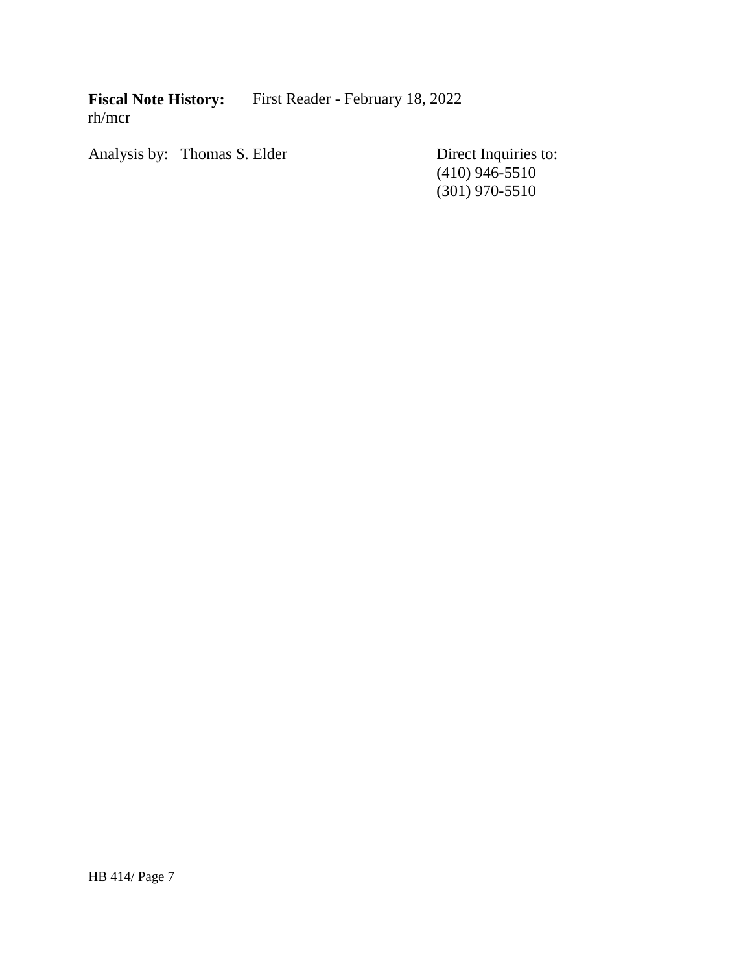Fiscal Note History: First Reader - February 18, 2022 rh/mcr

Analysis by: Thomas S. Elder Direct Inquiries to:

(410) 946-5510 (301) 970-5510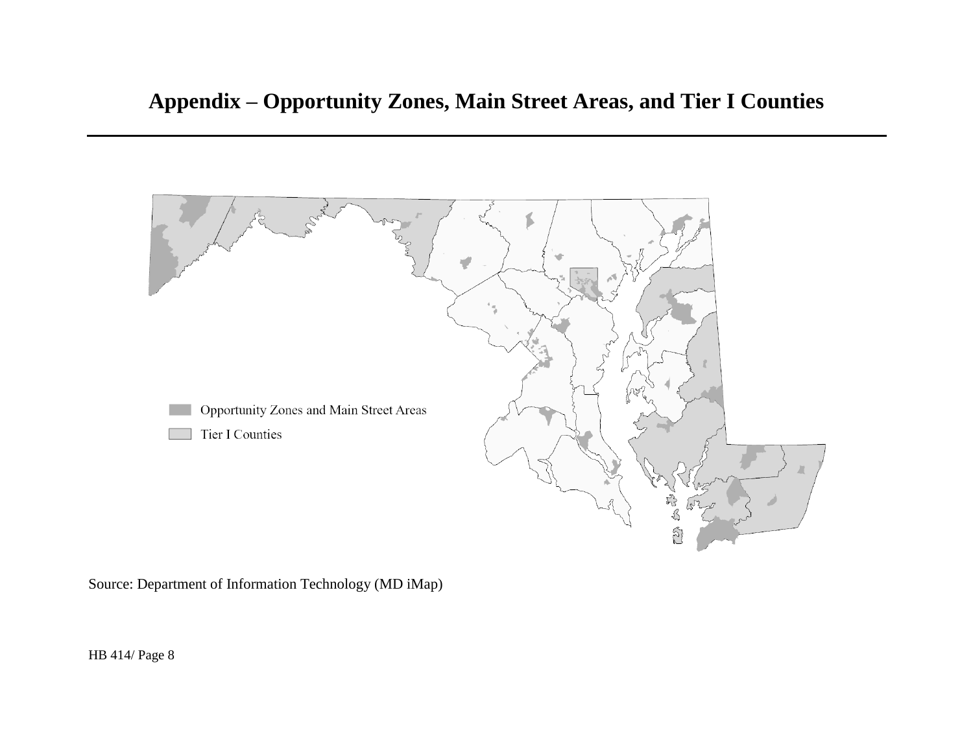

Source: Department of Information Technology (MD iMap)

HB 414/ Page 8